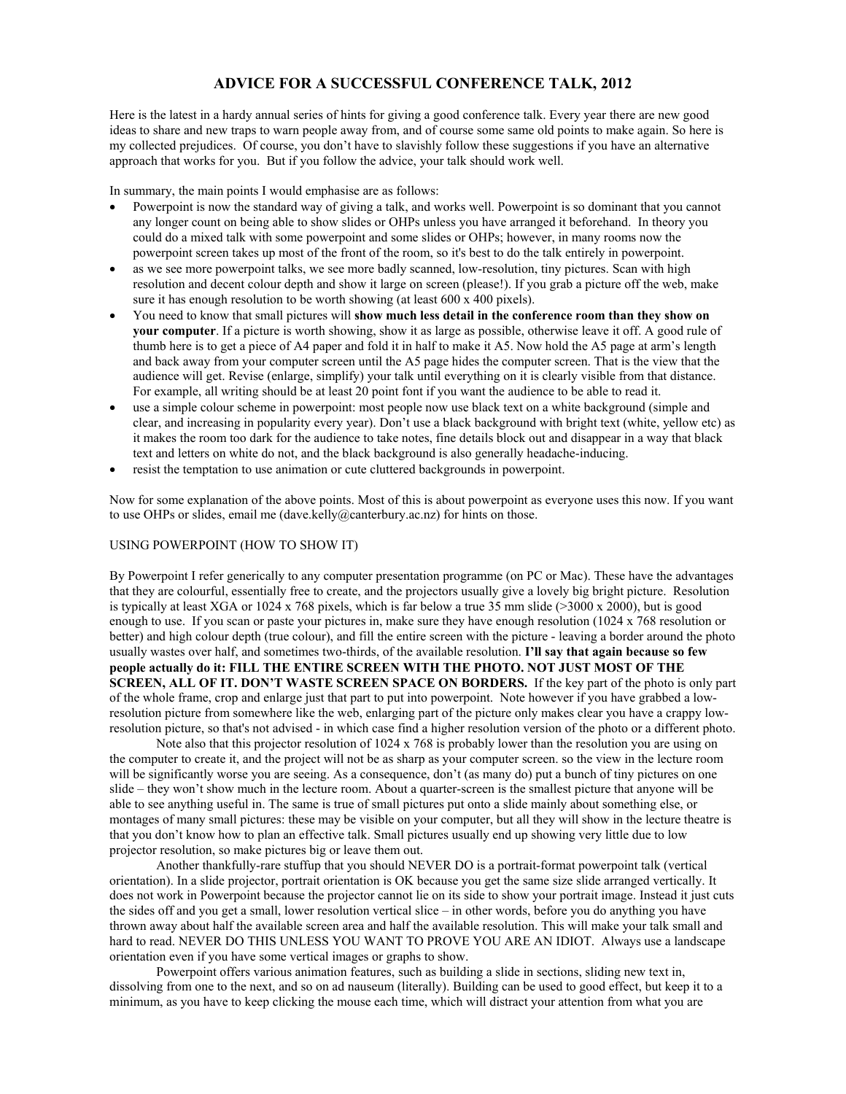# **ADVICE FOR A SUCCESSFUL CONFERENCE TALK, 2012**

Here is the latest in a hardy annual series of hints for giving a good conference talk. Every year there are new good ideas to share and new traps to warn people away from, and of course some same old points to make again. So here is my collected prejudices. Of course, you don't have to slavishly follow these suggestions if you have an alternative approach that works for you. But if you follow the advice, your talk should work well.

In summary, the main points I would emphasise are as follows:

- Powerpoint is now the standard way of giving a talk, and works well. Powerpoint is so dominant that you cannot any longer count on being able to show slides or OHPs unless you have arranged it beforehand. In theory you could do a mixed talk with some powerpoint and some slides or OHPs; however, in many rooms now the powerpoint screen takes up most of the front of the room, so it's best to do the talk entirely in powerpoint.
- as we see more powerpoint talks, we see more badly scanned, low-resolution, tiny pictures. Scan with high resolution and decent colour depth and show it large on screen (please!). If you grab a picture off the web, make sure it has enough resolution to be worth showing (at least 600 x 400 pixels).
- You need to know that small pictures will **show much less detail in the conference room than they show on your computer**. If a picture is worth showing, show it as large as possible, otherwise leave it off. A good rule of thumb here is to get a piece of A4 paper and fold it in half to make it A5. Now hold the A5 page at arm's length and back away from your computer screen until the A5 page hides the computer screen. That is the view that the audience will get. Revise (enlarge, simplify) your talk until everything on it is clearly visible from that distance. For example, all writing should be at least 20 point font if you want the audience to be able to read it.
- use a simple colour scheme in powerpoint: most people now use black text on a white background (simple and clear, and increasing in popularity every year). Don't use a black background with bright text (white, yellow etc) as it makes the room too dark for the audience to take notes, fine details block out and disappear in a way that black text and letters on white do not, and the black background is also generally headache-inducing.
- resist the temptation to use animation or cute cluttered backgrounds in powerpoint.

Now for some explanation of the above points. Most of this is about powerpoint as everyone uses this now. If you want to use OHPs or slides, email me (dave.kelly@canterbury.ac.nz) for hints on those.

## USING POWERPOINT (HOW TO SHOW IT)

By Powerpoint I refer generically to any computer presentation programme (on PC or Mac). These have the advantages that they are colourful, essentially free to create, and the projectors usually give a lovely big bright picture. Resolution is typically at least XGA or 1024 x 768 pixels, which is far below a true 35 mm slide (>3000 x 2000), but is good enough to use. If you scan or paste your pictures in, make sure they have enough resolution (1024 x 768 resolution or better) and high colour depth (true colour), and fill the entire screen with the picture - leaving a border around the photo usually wastes over half, and sometimes two-thirds, of the available resolution. **I'll say that again because so few people actually do it: FILL THE ENTIRE SCREEN WITH THE PHOTO. NOT JUST MOST OF THE SCREEN, ALL OF IT. DON'T WASTE SCREEN SPACE ON BORDERS.** If the key part of the photo is only part of the whole frame, crop and enlarge just that part to put into powerpoint. Note however if you have grabbed a lowresolution picture from somewhere like the web, enlarging part of the picture only makes clear you have a crappy lowresolution picture, so that's not advised - in which case find a higher resolution version of the photo or a different photo.

 Note also that this projector resolution of 1024 x 768 is probably lower than the resolution you are using on the computer to create it, and the project will not be as sharp as your computer screen. so the view in the lecture room will be significantly worse you are seeing. As a consequence, don't (as many do) put a bunch of tiny pictures on one slide – they won't show much in the lecture room. About a quarter-screen is the smallest picture that anyone will be able to see anything useful in. The same is true of small pictures put onto a slide mainly about something else, or montages of many small pictures: these may be visible on your computer, but all they will show in the lecture theatre is that you don't know how to plan an effective talk. Small pictures usually end up showing very little due to low projector resolution, so make pictures big or leave them out.

 Another thankfully-rare stuffup that you should NEVER DO is a portrait-format powerpoint talk (vertical orientation). In a slide projector, portrait orientation is OK because you get the same size slide arranged vertically. It does not work in Powerpoint because the projector cannot lie on its side to show your portrait image. Instead it just cuts the sides off and you get a small, lower resolution vertical slice – in other words, before you do anything you have thrown away about half the available screen area and half the available resolution. This will make your talk small and hard to read. NEVER DO THIS UNLESS YOU WANT TO PROVE YOU ARE AN IDIOT. Always use a landscape orientation even if you have some vertical images or graphs to show.

 Powerpoint offers various animation features, such as building a slide in sections, sliding new text in, dissolving from one to the next, and so on ad nauseum (literally). Building can be used to good effect, but keep it to a minimum, as you have to keep clicking the mouse each time, which will distract your attention from what you are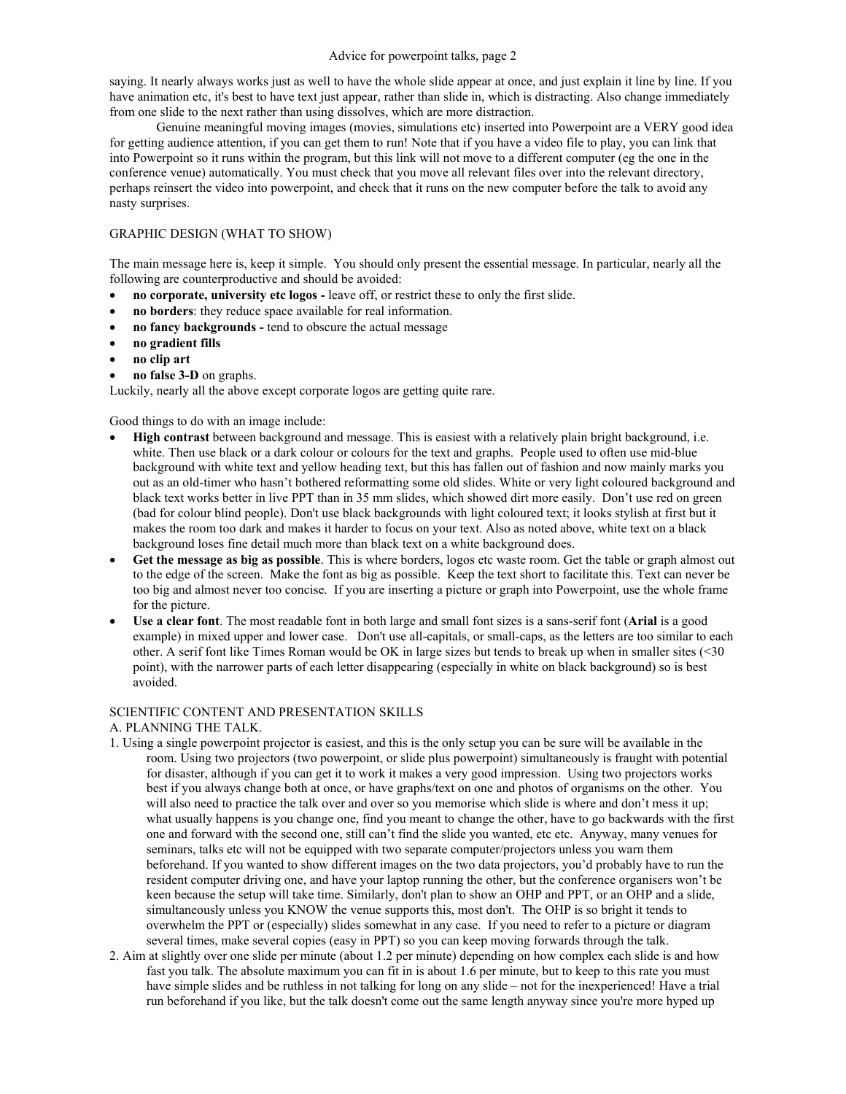#### Advice for powerpoint talks, page 2

saying. It nearly always works just as well to have the whole slide appear at once, and just explain it line by line. If you have animation etc, it's best to have text just appear, rather than slide in, which is distracting. Also change immediately from one slide to the next rather than using dissolves, which are more distraction.

 Genuine meaningful moving images (movies, simulations etc) inserted into Powerpoint are a VERY good idea for getting audience attention, if you can get them to run! Note that if you have a video file to play, you can link that into Powerpoint so it runs within the program, but this link will not move to a different computer (eg the one in the conference venue) automatically. You must check that you move all relevant files over into the relevant directory, perhaps reinsert the video into powerpoint, and check that it runs on the new computer before the talk to avoid any nasty surprises.

## GRAPHIC DESIGN (WHAT TO SHOW)

The main message here is, keep it simple. You should only present the essential message. In particular, nearly all the following are counterproductive and should be avoided:

- **no corporate, university etc logos** leave off, or restrict these to only the first slide.
- **no borders**: they reduce space available for real information.
- **no fancy backgrounds** tend to obscure the actual message
- **no gradient fills**
- **no clip art**
- **no false 3-D** on graphs.

Luckily, nearly all the above except corporate logos are getting quite rare.

Good things to do with an image include:

- **High contrast** between background and message. This is easiest with a relatively plain bright background, i.e. white. Then use black or a dark colour or colours for the text and graphs. People used to often use mid-blue background with white text and yellow heading text, but this has fallen out of fashion and now mainly marks you out as an old-timer who hasn't bothered reformatting some old slides. White or very light coloured background and black text works better in live PPT than in 35 mm slides, which showed dirt more easily. Don't use red on green (bad for colour blind people). Don't use black backgrounds with light coloured text; it looks stylish at first but it makes the room too dark and makes it harder to focus on your text. Also as noted above, white text on a black background loses fine detail much more than black text on a white background does.
- **Get the message as big as possible**. This is where borders, logos etc waste room. Get the table or graph almost out to the edge of the screen. Make the font as big as possible. Keep the text short to facilitate this. Text can never be too big and almost never too concise. If you are inserting a picture or graph into Powerpoint, use the whole frame for the picture.
- **Use a clear font**. The most readable font in both large and small font sizes is a sans-serif font (**Arial** is a good example) in mixed upper and lower case. Don't use all-capitals, or small-caps, as the letters are too similar to each other. A serif font like Times Roman would be OK in large sizes but tends to break up when in smaller sites (<30 point), with the narrower parts of each letter disappearing (especially in white on black background) so is best avoided.

### SCIENTIFIC CONTENT AND PRESENTATION SKILLS

A. PLANNING THE TALK.

- 1. Using a single powerpoint projector is easiest, and this is the only setup you can be sure will be available in the room. Using two projectors (two powerpoint, or slide plus powerpoint) simultaneously is fraught with potential for disaster, although if you can get it to work it makes a very good impression. Using two projectors works best if you always change both at once, or have graphs/text on one and photos of organisms on the other. You will also need to practice the talk over and over so you memorise which slide is where and don't mess it up; what usually happens is you change one, find you meant to change the other, have to go backwards with the first one and forward with the second one, still can't find the slide you wanted, etc etc. Anyway, many venues for seminars, talks etc will not be equipped with two separate computer/projectors unless you warn them beforehand. If you wanted to show different images on the two data projectors, you'd probably have to run the resident computer driving one, and have your laptop running the other, but the conference organisers won't be keen because the setup will take time. Similarly, don't plan to show an OHP and PPT, or an OHP and a slide, simultaneously unless you KNOW the venue supports this, most don't. The OHP is so bright it tends to overwhelm the PPT or (especially) slides somewhat in any case. If you need to refer to a picture or diagram several times, make several copies (easy in PPT) so you can keep moving forwards through the talk.
- 2. Aim at slightly over one slide per minute (about 1.2 per minute) depending on how complex each slide is and how fast you talk. The absolute maximum you can fit in is about 1.6 per minute, but to keep to this rate you must have simple slides and be ruthless in not talking for long on any slide – not for the inexperienced! Have a trial run beforehand if you like, but the talk doesn't come out the same length anyway since you're more hyped up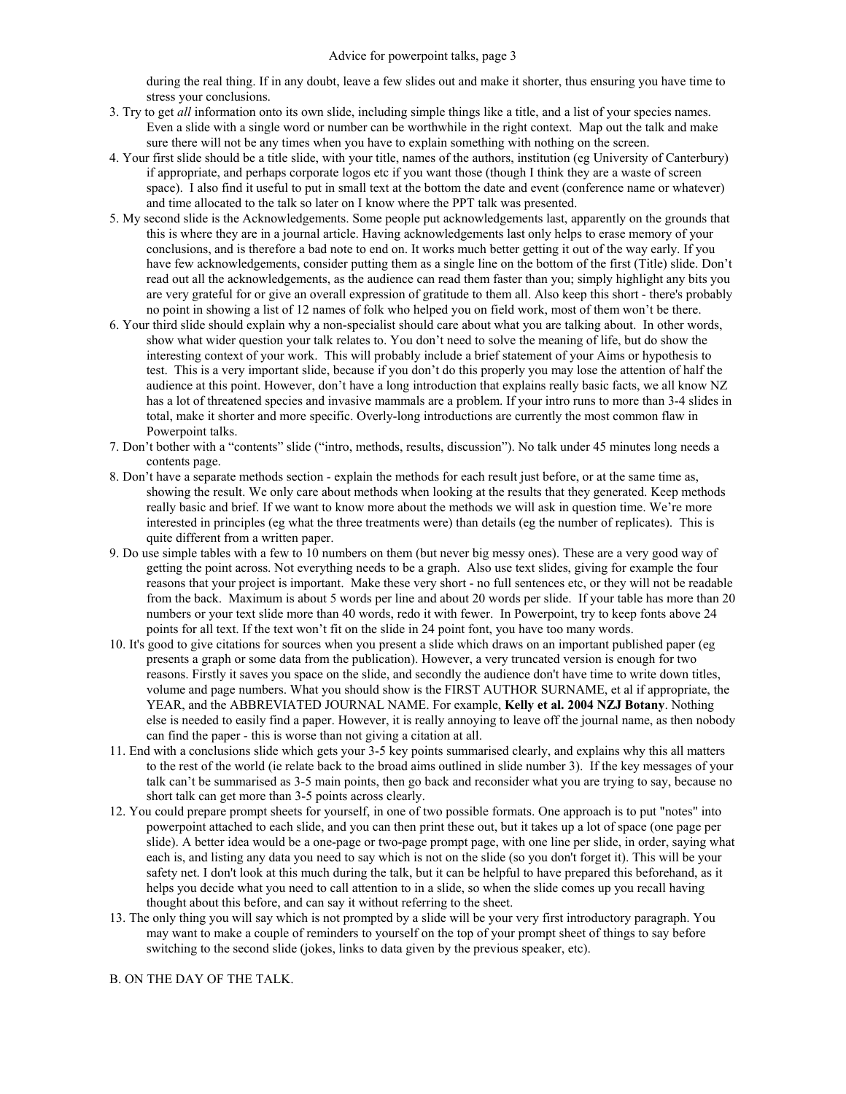during the real thing. If in any doubt, leave a few slides out and make it shorter, thus ensuring you have time to stress your conclusions.

- 3. Try to get *all* information onto its own slide, including simple things like a title, and a list of your species names. Even a slide with a single word or number can be worthwhile in the right context. Map out the talk and make sure there will not be any times when you have to explain something with nothing on the screen.
- 4. Your first slide should be a title slide, with your title, names of the authors, institution (eg University of Canterbury) if appropriate, and perhaps corporate logos etc if you want those (though I think they are a waste of screen space). I also find it useful to put in small text at the bottom the date and event (conference name or whatever) and time allocated to the talk so later on I know where the PPT talk was presented.
- 5. My second slide is the Acknowledgements. Some people put acknowledgements last, apparently on the grounds that this is where they are in a journal article. Having acknowledgements last only helps to erase memory of your conclusions, and is therefore a bad note to end on. It works much better getting it out of the way early. If you have few acknowledgements, consider putting them as a single line on the bottom of the first (Title) slide. Don't read out all the acknowledgements, as the audience can read them faster than you; simply highlight any bits you are very grateful for or give an overall expression of gratitude to them all. Also keep this short - there's probably no point in showing a list of 12 names of folk who helped you on field work, most of them won't be there.
- 6. Your third slide should explain why a non-specialist should care about what you are talking about. In other words, show what wider question your talk relates to. You don't need to solve the meaning of life, but do show the interesting context of your work. This will probably include a brief statement of your Aims or hypothesis to test. This is a very important slide, because if you don't do this properly you may lose the attention of half the audience at this point. However, don't have a long introduction that explains really basic facts, we all know NZ has a lot of threatened species and invasive mammals are a problem. If your intro runs to more than 3-4 slides in total, make it shorter and more specific. Overly-long introductions are currently the most common flaw in Powerpoint talks.
- 7. Don't bother with a "contents" slide ("intro, methods, results, discussion"). No talk under 45 minutes long needs a contents page.
- 8. Don't have a separate methods section explain the methods for each result just before, or at the same time as, showing the result. We only care about methods when looking at the results that they generated. Keep methods really basic and brief. If we want to know more about the methods we will ask in question time. We're more interested in principles (eg what the three treatments were) than details (eg the number of replicates). This is quite different from a written paper.
- 9. Do use simple tables with a few to 10 numbers on them (but never big messy ones). These are a very good way of getting the point across. Not everything needs to be a graph. Also use text slides, giving for example the four reasons that your project is important. Make these very short - no full sentences etc, or they will not be readable from the back. Maximum is about 5 words per line and about 20 words per slide. If your table has more than 20 numbers or your text slide more than 40 words, redo it with fewer. In Powerpoint, try to keep fonts above 24 points for all text. If the text won't fit on the slide in 24 point font, you have too many words.
- 10. It's good to give citations for sources when you present a slide which draws on an important published paper (eg presents a graph or some data from the publication). However, a very truncated version is enough for two reasons. Firstly it saves you space on the slide, and secondly the audience don't have time to write down titles, volume and page numbers. What you should show is the FIRST AUTHOR SURNAME, et al if appropriate, the YEAR, and the ABBREVIATED JOURNAL NAME. For example, **Kelly et al. 2004 NZJ Botany**. Nothing else is needed to easily find a paper. However, it is really annoying to leave off the journal name, as then nobody can find the paper - this is worse than not giving a citation at all.
- 11. End with a conclusions slide which gets your 3-5 key points summarised clearly, and explains why this all matters to the rest of the world (ie relate back to the broad aims outlined in slide number 3). If the key messages of your talk can't be summarised as 3-5 main points, then go back and reconsider what you are trying to say, because no short talk can get more than 3-5 points across clearly.
- 12. You could prepare prompt sheets for yourself, in one of two possible formats. One approach is to put "notes" into powerpoint attached to each slide, and you can then print these out, but it takes up a lot of space (one page per slide). A better idea would be a one-page or two-page prompt page, with one line per slide, in order, saying what each is, and listing any data you need to say which is not on the slide (so you don't forget it). This will be your safety net. I don't look at this much during the talk, but it can be helpful to have prepared this beforehand, as it helps you decide what you need to call attention to in a slide, so when the slide comes up you recall having thought about this before, and can say it without referring to the sheet.
- 13. The only thing you will say which is not prompted by a slide will be your very first introductory paragraph. You may want to make a couple of reminders to yourself on the top of your prompt sheet of things to say before switching to the second slide (jokes, links to data given by the previous speaker, etc).

B. ON THE DAY OF THE TALK.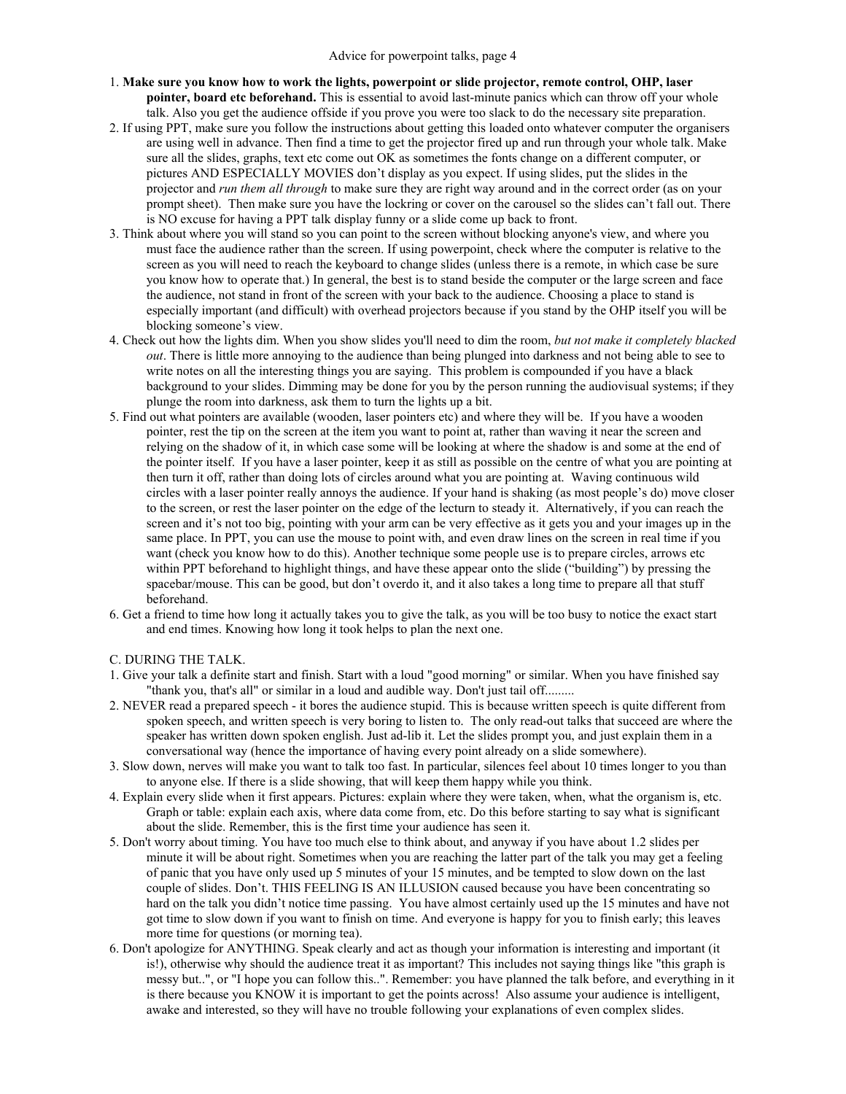- 1. **Make sure you know how to work the lights, powerpoint or slide projector, remote control, OHP, laser pointer, board etc beforehand.** This is essential to avoid last-minute panics which can throw off your whole talk. Also you get the audience offside if you prove you were too slack to do the necessary site preparation.
- 2. If using PPT, make sure you follow the instructions about getting this loaded onto whatever computer the organisers are using well in advance. Then find a time to get the projector fired up and run through your whole talk. Make sure all the slides, graphs, text etc come out OK as sometimes the fonts change on a different computer, or pictures AND ESPECIALLY MOVIES don't display as you expect. If using slides, put the slides in the projector and *run them all through* to make sure they are right way around and in the correct order (as on your prompt sheet). Then make sure you have the lockring or cover on the carousel so the slides can't fall out. There is NO excuse for having a PPT talk display funny or a slide come up back to front.
- 3. Think about where you will stand so you can point to the screen without blocking anyone's view, and where you must face the audience rather than the screen. If using powerpoint, check where the computer is relative to the screen as you will need to reach the keyboard to change slides (unless there is a remote, in which case be sure you know how to operate that.) In general, the best is to stand beside the computer or the large screen and face the audience, not stand in front of the screen with your back to the audience. Choosing a place to stand is especially important (and difficult) with overhead projectors because if you stand by the OHP itself you will be blocking someone's view.
- 4. Check out how the lights dim. When you show slides you'll need to dim the room, *but not make it completely blacked out*. There is little more annoying to the audience than being plunged into darkness and not being able to see to write notes on all the interesting things you are saying. This problem is compounded if you have a black background to your slides. Dimming may be done for you by the person running the audiovisual systems; if they plunge the room into darkness, ask them to turn the lights up a bit.
- 5. Find out what pointers are available (wooden, laser pointers etc) and where they will be. If you have a wooden pointer, rest the tip on the screen at the item you want to point at, rather than waving it near the screen and relying on the shadow of it, in which case some will be looking at where the shadow is and some at the end of the pointer itself. If you have a laser pointer, keep it as still as possible on the centre of what you are pointing at then turn it off, rather than doing lots of circles around what you are pointing at. Waving continuous wild circles with a laser pointer really annoys the audience. If your hand is shaking (as most people's do) move closer to the screen, or rest the laser pointer on the edge of the lecturn to steady it. Alternatively, if you can reach the screen and it's not too big, pointing with your arm can be very effective as it gets you and your images up in the same place. In PPT, you can use the mouse to point with, and even draw lines on the screen in real time if you want (check you know how to do this). Another technique some people use is to prepare circles, arrows etc within PPT beforehand to highlight things, and have these appear onto the slide ("building") by pressing the spacebar/mouse. This can be good, but don't overdo it, and it also takes a long time to prepare all that stuff beforehand.
- 6. Get a friend to time how long it actually takes you to give the talk, as you will be too busy to notice the exact start and end times. Knowing how long it took helps to plan the next one.
- C. DURING THE TALK.
- 1. Give your talk a definite start and finish. Start with a loud "good morning" or similar. When you have finished say "thank you, that's all" or similar in a loud and audible way. Don't just tail off.........
- 2. NEVER read a prepared speech it bores the audience stupid. This is because written speech is quite different from spoken speech, and written speech is very boring to listen to. The only read-out talks that succeed are where the speaker has written down spoken english. Just ad-lib it. Let the slides prompt you, and just explain them in a conversational way (hence the importance of having every point already on a slide somewhere).
- 3. Slow down, nerves will make you want to talk too fast. In particular, silences feel about 10 times longer to you than to anyone else. If there is a slide showing, that will keep them happy while you think.
- 4. Explain every slide when it first appears. Pictures: explain where they were taken, when, what the organism is, etc. Graph or table: explain each axis, where data come from, etc. Do this before starting to say what is significant about the slide. Remember, this is the first time your audience has seen it.
- 5. Don't worry about timing. You have too much else to think about, and anyway if you have about 1.2 slides per minute it will be about right. Sometimes when you are reaching the latter part of the talk you may get a feeling of panic that you have only used up 5 minutes of your 15 minutes, and be tempted to slow down on the last couple of slides. Don't. THIS FEELING IS AN ILLUSION caused because you have been concentrating so hard on the talk you didn't notice time passing. You have almost certainly used up the 15 minutes and have not got time to slow down if you want to finish on time. And everyone is happy for you to finish early; this leaves more time for questions (or morning tea).
- 6. Don't apologize for ANYTHING. Speak clearly and act as though your information is interesting and important (it is!), otherwise why should the audience treat it as important? This includes not saying things like "this graph is messy but..", or "I hope you can follow this..". Remember: you have planned the talk before, and everything in it is there because you KNOW it is important to get the points across! Also assume your audience is intelligent, awake and interested, so they will have no trouble following your explanations of even complex slides.